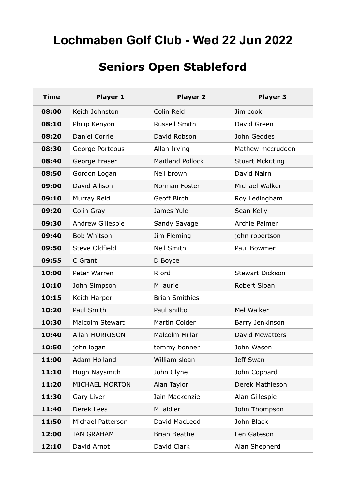## **Lochmaben Golf Club - Wed 22 Jun 2022**

## **Seniors Open Stableford**

| <b>Time</b> | Player 1               | <b>Player 2</b>         | Player <sub>3</sub>     |
|-------------|------------------------|-------------------------|-------------------------|
| 08:00       | Keith Johnston         | Colin Reid              | Jim cook                |
| 08:10       | Philip Kenyon          | Russell Smith           | David Green             |
| 08:20       | <b>Daniel Corrie</b>   | David Robson            | John Geddes             |
| 08:30       | George Porteous        | Allan Irving            | Mathew mccrudden        |
| 08:40       | George Fraser          | <b>Maitland Pollock</b> | <b>Stuart Mckitting</b> |
| 08:50       | Gordon Logan           | Neil brown              | David Nairn             |
| 09:00       | David Allison          | Norman Foster           | Michael Walker          |
| 09:10       | Murray Reid            | Geoff Birch             | Roy Ledingham           |
| 09:20       | Colin Gray             | James Yule              | Sean Kelly              |
| 09:30       | Andrew Gillespie       | Sandy Savage            | Archie Palmer           |
| 09:40       | Bob Whitson            | Jim Fleming             | john robertson          |
| 09:50       | Steve Oldfield         | <b>Neil Smith</b>       | Paul Bowmer             |
| 09:55       | C Grant                | D Boyce                 |                         |
| 10:00       | Peter Warren           | R ord                   | <b>Stewart Dickson</b>  |
| 10:10       | John Simpson           | M laurie                | Robert Sloan            |
| 10:15       | Keith Harper           | <b>Brian Smithies</b>   |                         |
| 10:20       | Paul Smith             | Paul shillto            | Mel Walker              |
| 10:30       | <b>Malcolm Stewart</b> | Martin Colder           | Barry Jenkinson         |
| 10:40       | <b>Allan MORRISON</b>  | <b>Malcolm Millar</b>   | <b>David Mcwatters</b>  |
| 10:50       | john logan             | tommy bonner            | John Wason              |
| 11:00       | Adam Holland           | William sloan           | Jeff Swan               |
| 11:10       | Hugh Naysmith          | John Clyne              | John Coppard            |
| 11:20       | <b>MICHAEL MORTON</b>  | Alan Taylor             | Derek Mathieson         |
| 11:30       | Gary Liver             | Iain Mackenzie          | Alan Gillespie          |
| 11:40       | Derek Lees             | M laidler               | John Thompson           |
| 11:50       | Michael Patterson      | David MacLeod           | John Black              |
| 12:00       | <b>IAN GRAHAM</b>      | <b>Brian Beattie</b>    | Len Gateson             |
| 12:10       | David Arnot            | David Clark             | Alan Shepherd           |